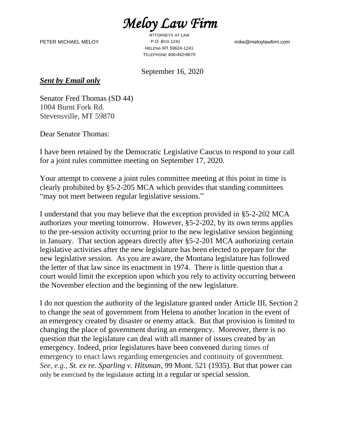*Meloy Law Firm* 

PETER MICHAEL MELOY P.O. BOX 1241

ATTORNEYS AT LAW HELENA MT 59624-1241 TELEPHONE 406•442•8670

mike@meloylawfirm.com

September 16, 2020

*Sent by Email only*

Senator Fred Thomas (SD 44) 1004 Burnt Fork Rd. Stevensville, MT 59870

Dear Senator Thomas:

I have been retained by the Democratic Legislative Caucus to respond to your call for a joint rules committee meeting on September 17, 2020.

Your attempt to convene a joint rules committee meeting at this point in time is clearly prohibited by §5-2-205 MCA which provides that standing committees "may not meet between regular legislative sessions."

I understand that you may believe that the exception provided in §5-2-202 MCA authorizes your meeting tomorrow. However, §5-2-202, by its own terms applies to the pre-session activity occurring prior to the new legislative session beginning in January. That section appears directly after §5-2-201 MCA authorizing certain legislative activities after the new legislature has been elected to prepare for the new legislative session. As you are aware, the Montana legislature has followed the letter of that law since its enactment in 1974. There is little question that a court would limit the exception upon which you rely to activity occurring between the November election and the beginning of the new legislature.

I do not question the authority of the legislature granted under Article III, Section 2 to change the seat of government from Helena to another location in the event of an emergency created by disaster or enemy attack. But that provision is limited to changing the place of government during an emergency. Moreover, there is no question that the legislature can deal with all manner of issues created by an emergency. Indeed, prior legislatures have been convened during times of emergency to enact laws regarding emergencies and continuity of government. *See, e.g.*, *St. ex re. Sparling v. Hitsman*, 99 Mont. 521 (1935). But that power can only be exercised by the legislature acting in a regular or special session.